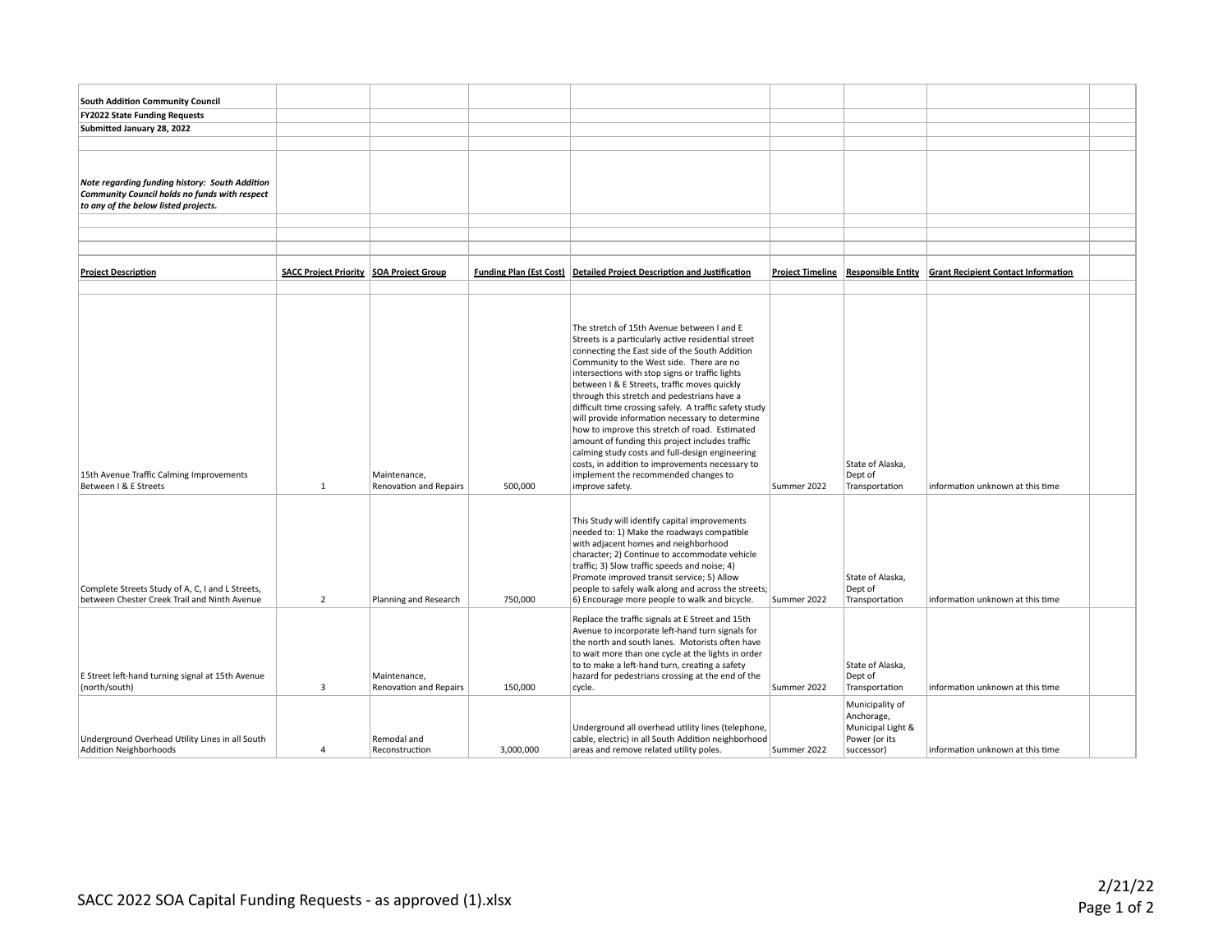| <b>South Addition Community Council</b>                                   |                                                |                        |           |                                                                                                           |                         |                                    |                                                               |  |
|---------------------------------------------------------------------------|------------------------------------------------|------------------------|-----------|-----------------------------------------------------------------------------------------------------------|-------------------------|------------------------------------|---------------------------------------------------------------|--|
| <b>FY2022 State Funding Requests</b>                                      |                                                |                        |           |                                                                                                           |                         |                                    |                                                               |  |
| Submitted January 28, 2022                                                |                                                |                        |           |                                                                                                           |                         |                                    |                                                               |  |
|                                                                           |                                                |                        |           |                                                                                                           |                         |                                    |                                                               |  |
|                                                                           |                                                |                        |           |                                                                                                           |                         |                                    |                                                               |  |
|                                                                           |                                                |                        |           |                                                                                                           |                         |                                    |                                                               |  |
| <b>Note regarding funding history: South Addition</b>                     |                                                |                        |           |                                                                                                           |                         |                                    |                                                               |  |
| Community Council holds no funds with respect                             |                                                |                        |           |                                                                                                           |                         |                                    |                                                               |  |
| to any of the below listed projects.                                      |                                                |                        |           |                                                                                                           |                         |                                    |                                                               |  |
|                                                                           |                                                |                        |           |                                                                                                           |                         |                                    |                                                               |  |
|                                                                           |                                                |                        |           |                                                                                                           |                         |                                    |                                                               |  |
|                                                                           |                                                |                        |           |                                                                                                           |                         |                                    |                                                               |  |
|                                                                           |                                                |                        |           |                                                                                                           |                         |                                    |                                                               |  |
| <b>Project Description</b>                                                | <b>SACC Project Priority SOA Project Group</b> |                        |           | <b>Funding Plan (Est Cost) Detailed Project Description and Justification</b>                             | <b>Project Timeline</b> |                                    | <b>Responsible Entity Grant Recipient Contact Information</b> |  |
|                                                                           |                                                |                        |           |                                                                                                           |                         |                                    |                                                               |  |
|                                                                           |                                                |                        |           |                                                                                                           |                         |                                    |                                                               |  |
|                                                                           |                                                |                        |           |                                                                                                           |                         |                                    |                                                               |  |
|                                                                           |                                                |                        |           | The stretch of 15th Avenue between I and E                                                                |                         |                                    |                                                               |  |
|                                                                           |                                                |                        |           | Streets is a particularly active residential street                                                       |                         |                                    |                                                               |  |
|                                                                           |                                                |                        |           | connecting the East side of the South Addition                                                            |                         |                                    |                                                               |  |
|                                                                           |                                                |                        |           | Community to the West side. There are no<br>intersections with stop signs or traffic lights               |                         |                                    |                                                               |  |
|                                                                           |                                                |                        |           | between I & E Streets, traffic moves quickly                                                              |                         |                                    |                                                               |  |
|                                                                           |                                                |                        |           | through this stretch and pedestrians have a                                                               |                         |                                    |                                                               |  |
|                                                                           |                                                |                        |           | difficult time crossing safely. A traffic safety study                                                    |                         |                                    |                                                               |  |
|                                                                           |                                                |                        |           | will provide information necessary to determine                                                           |                         |                                    |                                                               |  |
|                                                                           |                                                |                        |           | how to improve this stretch of road. Estimated                                                            |                         |                                    |                                                               |  |
|                                                                           |                                                |                        |           | amount of funding this project includes traffic                                                           |                         |                                    |                                                               |  |
|                                                                           |                                                |                        |           | calming study costs and full-design engineering<br>costs, in addition to improvements necessary to        |                         | State of Alaska,                   |                                                               |  |
| 15th Avenue Traffic Calming Improvements                                  |                                                | Maintenance,           |           | implement the recommended changes to                                                                      |                         | Dept of                            |                                                               |  |
| Between I & E Streets                                                     | $\mathbf{1}$                                   | Renovation and Repairs | 500,000   | improve safety.                                                                                           | Summer 2022             | Transportation                     | information unknown at this time                              |  |
|                                                                           |                                                |                        |           |                                                                                                           |                         |                                    |                                                               |  |
|                                                                           |                                                |                        |           |                                                                                                           |                         |                                    |                                                               |  |
|                                                                           |                                                |                        |           | This Study will identify capital improvements                                                             |                         |                                    |                                                               |  |
|                                                                           |                                                |                        |           | needed to: 1) Make the roadways compatible<br>with adjacent homes and neighborhood                        |                         |                                    |                                                               |  |
|                                                                           |                                                |                        |           | character; 2) Continue to accommodate vehicle                                                             |                         |                                    |                                                               |  |
|                                                                           |                                                |                        |           | traffic; 3) Slow traffic speeds and noise; 4)                                                             |                         |                                    |                                                               |  |
|                                                                           |                                                |                        |           | Promote improved transit service; 5) Allow                                                                |                         | State of Alaska,                   |                                                               |  |
| Complete Streets Study of A, C, I and L Streets,                          |                                                |                        |           | people to safely walk along and across the streets;                                                       |                         | Dept of                            |                                                               |  |
| between Chester Creek Trail and Ninth Avenue                              | $\overline{2}$                                 | Planning and Research  | 750,000   | 6) Encourage more people to walk and bicycle.                                                             | Summer 2022             | Transportation                     | information unknown at this time                              |  |
|                                                                           |                                                |                        |           | Replace the traffic signals at E Street and 15th                                                          |                         |                                    |                                                               |  |
|                                                                           |                                                |                        |           | Avenue to incorporate left-hand turn signals for                                                          |                         |                                    |                                                               |  |
|                                                                           |                                                |                        |           | the north and south lanes. Motorists often have                                                           |                         |                                    |                                                               |  |
|                                                                           |                                                |                        |           | to wait more than one cycle at the lights in order                                                        |                         |                                    |                                                               |  |
|                                                                           |                                                |                        |           | to to make a left-hand turn, creating a safety                                                            |                         | State of Alaska,                   |                                                               |  |
| E Street left-hand turning signal at 15th Avenue                          |                                                | Maintenance,           |           | hazard for pedestrians crossing at the end of the                                                         |                         | Dept of                            |                                                               |  |
| (north/south)                                                             | 3                                              | Renovation and Repairs | 150,000   | cycle.                                                                                                    | Summer 2022             | Transportation                     | information unknown at this time                              |  |
|                                                                           |                                                |                        |           |                                                                                                           |                         | Municipality of                    |                                                               |  |
|                                                                           |                                                |                        |           |                                                                                                           |                         | Anchorage,                         |                                                               |  |
|                                                                           |                                                | Remodal and            |           | Underground all overhead utility lines (telephone,<br>cable, electric) in all South Addition neighborhood |                         | Municipal Light &<br>Power (or its |                                                               |  |
| Underground Overhead Utility Lines in all South<br>Addition Neighborhoods |                                                | Reconstruction         | 3,000,000 | areas and remove related utility poles.                                                                   | Summer 2022             | successor)                         | information unknown at this time                              |  |
|                                                                           |                                                |                        |           |                                                                                                           |                         |                                    |                                                               |  |